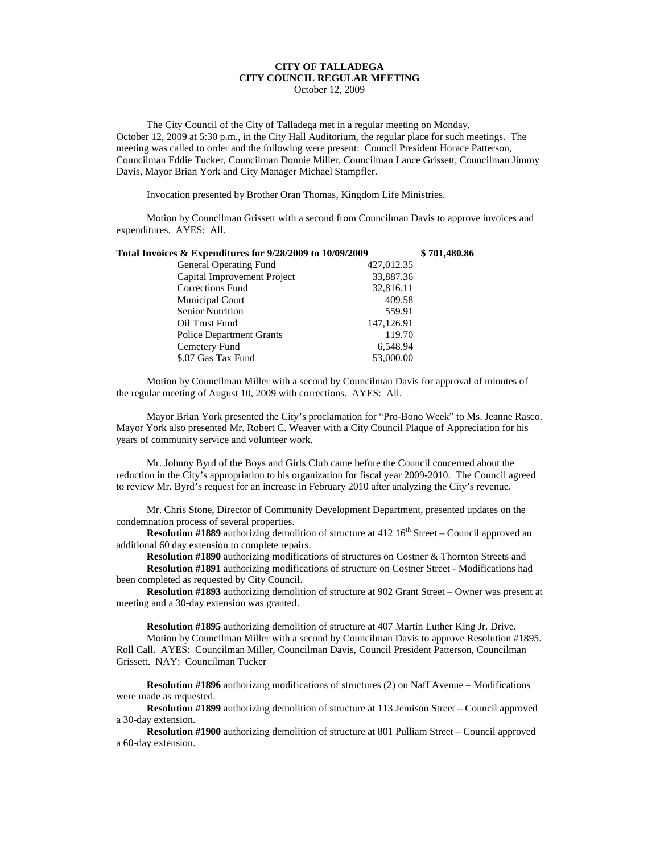## **CITY OF TALLADEGA CITY COUNCIL REGULAR MEETING**

October 12, 2009

The City Council of the City of Talladega met in a regular meeting on Monday, October 12, 2009 at 5:30 p.m., in the City Hall Auditorium, the regular place for such meetings. The meeting was called to order and the following were present: Council President Horace Patterson, Councilman Eddie Tucker, Councilman Donnie Miller, Councilman Lance Grissett, Councilman Jimmy Davis, Mayor Brian York and City Manager Michael Stampfler.

Invocation presented by Brother Oran Thomas, Kingdom Life Ministries.

Motion by Councilman Grissett with a second from Councilman Davis to approve invoices and expenditures. AYES: All.

| Total Invoices & Expenditures for 9/28/2009 to 10/09/2009 |            | \$701,480.86 |
|-----------------------------------------------------------|------------|--------------|
| <b>General Operating Fund</b>                             | 427,012.35 |              |
| Capital Improvement Project                               | 33,887.36  |              |
| Corrections Fund                                          | 32,816.11  |              |
| Municipal Court                                           | 409.58     |              |
| <b>Senior Nutrition</b>                                   | 559.91     |              |
| Oil Trust Fund                                            | 147,126.91 |              |
| <b>Police Department Grants</b>                           | 119.70     |              |
| Cemetery Fund                                             | 6,548.94   |              |
| \$.07 Gas Tax Fund                                        | 53,000.00  |              |

Motion by Councilman Miller with a second by Councilman Davis for approval of minutes of the regular meeting of August 10, 2009 with corrections. AYES: All.

Mayor Brian York presented the City's proclamation for "Pro-Bono Week" to Ms. Jeanne Rasco. Mayor York also presented Mr. Robert C. Weaver with a City Council Plaque of Appreciation for his years of community service and volunteer work.

Mr. Johnny Byrd of the Boys and Girls Club came before the Council concerned about the reduction in the City's appropriation to his organization for fiscal year 2009-2010. The Council agreed to review Mr. Byrd's request for an increase in February 2010 after analyzing the City's revenue.

Mr. Chris Stone, Director of Community Development Department, presented updates on the condemnation process of several properties.

**Resolution #1889** authorizing demolition of structure at 412 16<sup>th</sup> Street – Council approved an additional 60 day extension to complete repairs.

**Resolution #1890** authorizing modifications of structures on Costner & Thornton Streets and **Resolution #1891** authorizing modifications of structure on Costner Street - Modifications had been completed as requested by City Council.

**Resolution #1893** authorizing demolition of structure at 902 Grant Street – Owner was present at meeting and a 30-day extension was granted.

**Resolution #1895** authorizing demolition of structure at 407 Martin Luther King Jr. Drive.

Motion by Councilman Miller with a second by Councilman Davis to approve Resolution #1895. Roll Call. AYES: Councilman Miller, Councilman Davis, Council President Patterson, Councilman Grissett. NAY: Councilman Tucker

**Resolution #1896** authorizing modifications of structures (2) on Naff Avenue – Modifications were made as requested.

**Resolution #1899** authorizing demolition of structure at 113 Jemison Street – Council approved a 30-day extension.

**Resolution #1900** authorizing demolition of structure at 801 Pulliam Street – Council approved a 60-day extension.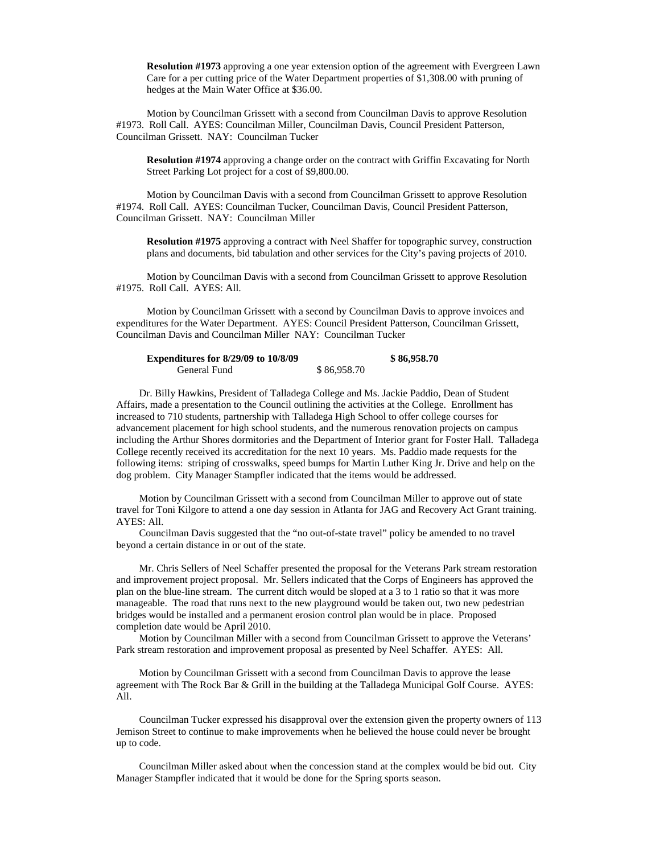**Resolution #1973** approving a one year extension option of the agreement with Evergreen Lawn Care for a per cutting price of the Water Department properties of \$1,308.00 with pruning of hedges at the Main Water Office at \$36.00.

Motion by Councilman Grissett with a second from Councilman Davis to approve Resolution #1973. Roll Call. AYES: Councilman Miller, Councilman Davis, Council President Patterson, Councilman Grissett. NAY: Councilman Tucker

**Resolution #1974** approving a change order on the contract with Griffin Excavating for North Street Parking Lot project for a cost of \$9,800.00.

Motion by Councilman Davis with a second from Councilman Grissett to approve Resolution #1974. Roll Call. AYES: Councilman Tucker, Councilman Davis, Council President Patterson, Councilman Grissett. NAY: Councilman Miller

**Resolution #1975** approving a contract with Neel Shaffer for topographic survey, construction plans and documents, bid tabulation and other services for the City's paving projects of 2010.

Motion by Councilman Davis with a second from Councilman Grissett to approve Resolution #1975. Roll Call. AYES: All.

Motion by Councilman Grissett with a second by Councilman Davis to approve invoices and expenditures for the Water Department. AYES: Council President Patterson, Councilman Grissett, Councilman Davis and Councilman Miller NAY: Councilman Tucker

| <b>Expenditures for 8/29/09 to 10/8/09</b> |             | \$86,958.70 |
|--------------------------------------------|-------------|-------------|
| General Fund                               | \$86,958.70 |             |

Dr. Billy Hawkins, President of Talladega College and Ms. Jackie Paddio, Dean of Student Affairs, made a presentation to the Council outlining the activities at the College. Enrollment has increased to 710 students, partnership with Talladega High School to offer college courses for advancement placement for high school students, and the numerous renovation projects on campus including the Arthur Shores dormitories and the Department of Interior grant for Foster Hall. Talladega College recently received its accreditation for the next 10 years. Ms. Paddio made requests for the following items: striping of crosswalks, speed bumps for Martin Luther King Jr. Drive and help on the dog problem. City Manager Stampfler indicated that the items would be addressed.

Motion by Councilman Grissett with a second from Councilman Miller to approve out of state travel for Toni Kilgore to attend a one day session in Atlanta for JAG and Recovery Act Grant training. AYES: All.

Councilman Davis suggested that the "no out-of-state travel" policy be amended to no travel beyond a certain distance in or out of the state.

Mr. Chris Sellers of Neel Schaffer presented the proposal for the Veterans Park stream restoration and improvement project proposal. Mr. Sellers indicated that the Corps of Engineers has approved the plan on the blue-line stream. The current ditch would be sloped at a 3 to 1 ratio so that it was more manageable. The road that runs next to the new playground would be taken out, two new pedestrian bridges would be installed and a permanent erosion control plan would be in place. Proposed completion date would be April 2010.

Motion by Councilman Miller with a second from Councilman Grissett to approve the Veterans' Park stream restoration and improvement proposal as presented by Neel Schaffer. AYES: All.

Motion by Councilman Grissett with a second from Councilman Davis to approve the lease agreement with The Rock Bar & Grill in the building at the Talladega Municipal Golf Course. AYES: All.

Councilman Tucker expressed his disapproval over the extension given the property owners of 113 Jemison Street to continue to make improvements when he believed the house could never be brought up to code.

Councilman Miller asked about when the concession stand at the complex would be bid out. City Manager Stampfler indicated that it would be done for the Spring sports season.